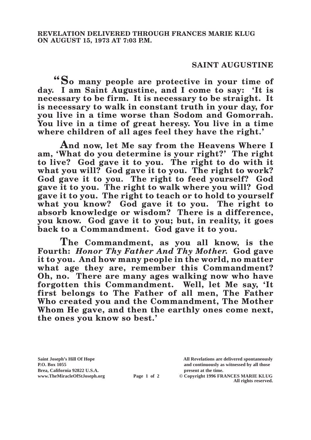## **SAINT AUGUSTINE**

**"So many people are protective in your time of day. I am Saint Augustine, and I come to say: 'It is necessary to be firm. It is necessary to be straight. It is necessary to walk in constant truth in your day, for you live in a time worse than Sodom and Gomorrah. You live in a time of great heresy. You live in a time where children of all ages feel they have the right.'**

**And now, let Me say from the Heavens Where I am, 'What do you determine is your right?' The right to live? God gave it to you. The right to do with it what you will? God gave it to you. The right to work? God gave it to you. The right to feed yourself? God gave it to you. The right to walk where you will? God gave it to you. The right to teach or to hold to yourself what you know? God gave it to you. The right to absorb knowledge or wisdom? There is a difference, you know. God gave it to you; but, in reality, it goes back to a Commandment. God gave it to you.**

**The Commandment, as you all know, is the Fourth:** *Honor Thy Father And Thy Mother.* **God gave it to you. And how many people in the world, no matter what age they are, remember this Commandment? Oh, no. There are many ages walking now who have forgotten this Commandment. Well, let Me say, 'It first belongs to The Father of all men, The Father Who created you and the Commandment, The Mother Whom He gave, and then the earthly ones come next, the ones you know so best.'**

**Brea, California 92822 U.S.A. present at the time.**<br> **present at the time.**<br> **present at the time.**<br> **Page 1 of 2** © Copyright 1996 FR.

**Saint Joseph's Hill Of Hope All Revelations are delivered spontaneously P.O. Box 1055 and continuously as witnessed by all those** 

**Page 1 of 2** © Copyright 1996 FRANCES MARIE KLUG **All rights reserved.**